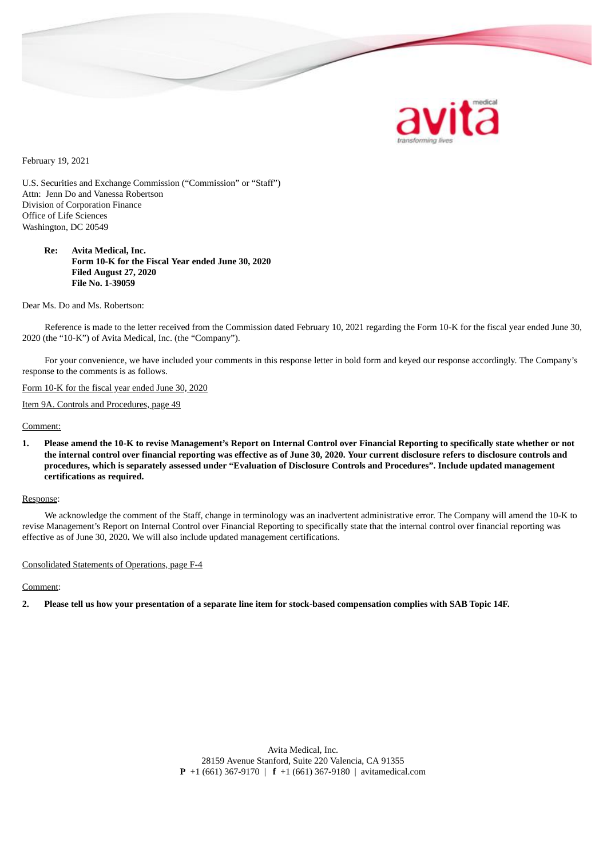

February 19, 2021

U.S. Securities and Exchange Commission ("Commission" or "Staff") Attn: Jenn Do and Vanessa Robertson Division of Corporation Finance Office of Life Sciences Washington, DC 20549

**Re: Avita Medical, Inc. Form 10-K for the Fiscal Year ended June 30, 2020 Filed August 27, 2020 File No. 1-39059**

Dear Ms. Do and Ms. Robertson:

Reference is made to the letter received from the Commission dated February 10, 2021 regarding the Form 10-K for the fiscal year ended June 30, 2020 (the "10-K") of Avita Medical, Inc. (the "Company").

For your convenience, we have included your comments in this response letter in bold form and keyed our response accordingly. The Company's response to the comments is as follows.

Form 10-K for the fiscal year ended June 30, 2020

Item 9A. Controls and Procedures, page 49

Comment:

1. Please amend the 10-K to revise Management's Report on Internal Control over Financial Reporting to specifically state whether or not the internal control over financial reporting was effective as of June 30, 2020. Your current disclosure refers to disclosure controls and procedures, which is separately assessed under "Evaluation of Disclosure Controls and Procedures". Include updated management **certifications as required.**

## Response:

We acknowledge the comment of the Staff, change in terminology was an inadvertent administrative error. The Company will amend the 10-K to revise Management's Report on Internal Control over Financial Reporting to specifically state that the internal control over financial reporting was effective as of June 30, 2020**.** We will also include updated management certifications.

## Consolidated Statements of Operations, page F-4

Comment:

2. Please tell us how your presentation of a separate line item for stock-based compensation complies with SAB Topic 14F.

Avita Medical, Inc. 28159 Avenue Stanford, Suite 220 Valencia, CA 91355 **P** +1 (661) 367-9170 | **f** +1 (661) 367-9180 | avitamedical.com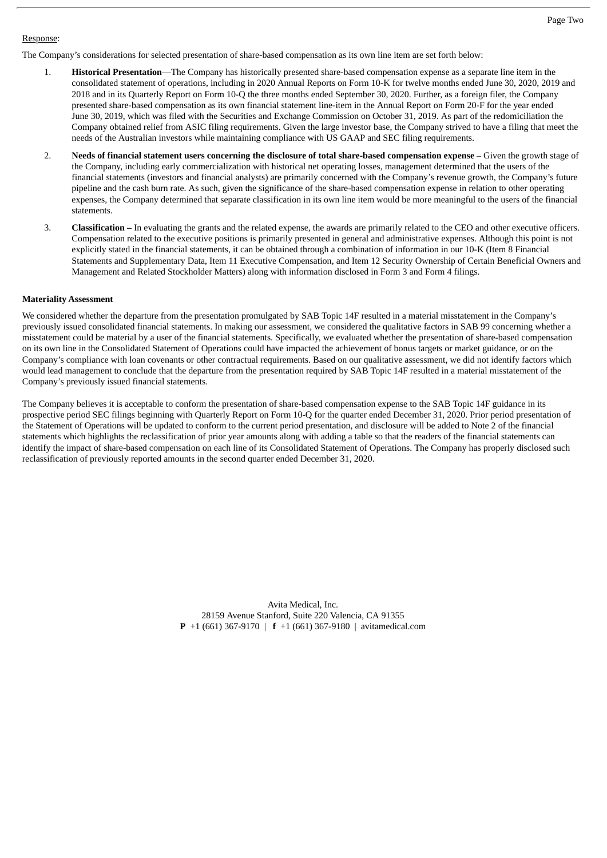## Response:

- 1. **Historical Presentation**—The Company has historically presented share-based compensation expense as a separate line item in the consolidated statement of operations, including in 2020 Annual Reports on Form 10-K for twelve months ended June 30, 2020, 2019 and 2018 and in its Quarterly Report on Form 10-Q the three months ended September 30, 2020. Further, as a foreign filer, the Company presented share-based compensation as its own financial statement line-item in the Annual Report on Form 20-F for the year ended June 30, 2019, which was filed with the Securities and Exchange Commission on October 31, 2019. As part of the redomiciliation the Company obtained relief from ASIC filing requirements. Given the large investor base, the Company strived to have a filing that meet the needs of the Australian investors while maintaining compliance with US GAAP and SEC filing requirements.
- 2. **Needs of financial statement users concerning the disclosure of total share-based compensation expense** Given the growth stage of the Company, including early commercialization with historical net operating losses, management determined that the users of the financial statements (investors and financial analysts) are primarily concerned with the Company's revenue growth, the Company's future pipeline and the cash burn rate. As such, given the significance of the share-based compensation expense in relation to other operating expenses, the Company determined that separate classification in its own line item would be more meaningful to the users of the financial statements.
- 3. **Classification –** In evaluating the grants and the related expense, the awards are primarily related to the CEO and other executive officers. Compensation related to the executive positions is primarily presented in general and administrative expenses. Although this point is not explicitly stated in the financial statements, it can be obtained through a combination of information in our 10-K (Item 8 Financial Statements and Supplementary Data, Item 11 Executive Compensation, and Item 12 Security Ownership of Certain Beneficial Owners and Management and Related Stockholder Matters) along with information disclosed in Form 3 and Form 4 filings.

## **Materiality Assessment**

We considered whether the departure from the presentation promulgated by SAB Topic 14F resulted in a material misstatement in the Company's previously issued consolidated financial statements. In making our assessment, we considered the qualitative factors in SAB 99 concerning whether a misstatement could be material by a user of the financial statements. Specifically, we evaluated whether the presentation of share-based compensation on its own line in the Consolidated Statement of Operations could have impacted the achievement of bonus targets or market guidance, or on the Company's compliance with loan covenants or other contractual requirements. Based on our qualitative assessment, we did not identify factors which would lead management to conclude that the departure from the presentation required by SAB Topic 14F resulted in a material misstatement of the Company's previously issued financial statements.

The Company believes it is acceptable to conform the presentation of share-based compensation expense to the SAB Topic 14F guidance in its prospective period SEC filings beginning with Quarterly Report on Form 10-Q for the quarter ended December 31, 2020. Prior period presentation of the Statement of Operations will be updated to conform to the current period presentation, and disclosure will be added to Note 2 of the financial statements which highlights the reclassification of prior year amounts along with adding a table so that the readers of the financial statements can identify the impact of share-based compensation on each line of its Consolidated Statement of Operations. The Company has properly disclosed such reclassification of previously reported amounts in the second quarter ended December 31, 2020.

> Avita Medical, Inc. 28159 Avenue Stanford, Suite 220 Valencia, CA 91355 **P** +1 (661) 367-9170 | **f** +1 (661) 367-9180 | avitamedical.com